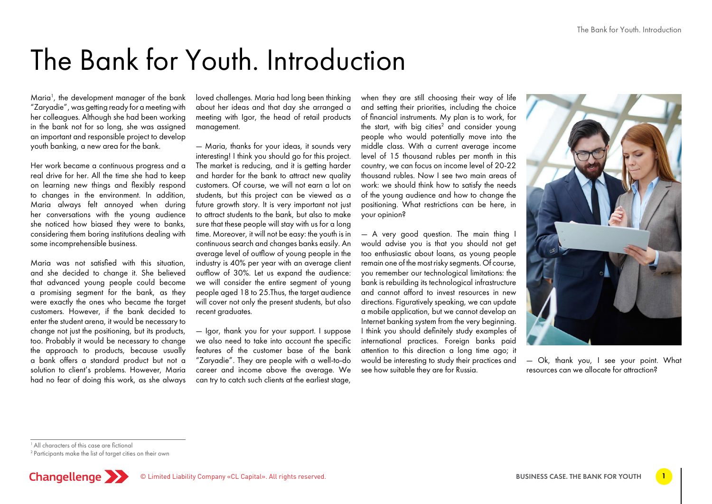# The Bank for Youth. Introduction

Maria1 , the development manager of the bank "Zaryadie", was getting ready for a meeting with her colleagues. Although she had been working in the bank not for so long, she was assigned an important and responsible project to develop youth banking, a new area for the bank.

Her work became a continuous progress and a real drive for her. All the time she had to keep on learning new things and flexibly respond to changes in the environment. In addition, Maria always felt annoyed when during her conversations with the young audience she noticed how biased they were to banks, considering them boring institutions dealing with some incomprehensible business.

Maria was not satisfied with this situation, and she decided to change it. She believed that advanced young people could become a promising segment for the bank, as they were exactly the ones who became the target customers. However, if the bank decided to enter the student arena, it would be necessary to change not just the positioning, but its products, too. Probably it would be necessary to change the approach to products, because usually a bank offers a standard product but not a solution to client's problems. However, Maria had no fear of doing this work, as she always loved challenges. Maria had long been thinking about her ideas and that day she arranged a meeting with Igor, the head of retail products management.

— Maria, thanks for your ideas, it sounds very interesting! I think you should go for this project. The market is reducing, and it is getting harder and harder for the bank to attract new quality customers. Of course, we will not earn a lot on students, but this project can be viewed as a future growth story. It is very important not just to attract students to the bank, but also to make sure that these people will stay with us for a long time. Moreover, it will not be easy: the youth is in continuous search and changes banks easily. An average level of outflow of young people in the industry is 40% per year with an average client outflow of 30%. Let us expand the audience: we will consider the entire segment of young people aged 18 to 25.Thus, the target audience will cover not only the present students, but also recent graduates.

— Igor, thank you for your support. I suppose we also need to take into account the specific features of the customer base of the bank "Zaryadie". They are people with a well-to-do career and income above the average. We can try to catch such clients at the earliest stage,

when they are still choosing their way of life and setting their priorities, including the choice of financial instruments. My plan is to work, for the start, with big cities $^2$  and consider young people who would potentially move into the middle class. With a current average income level of 15 thousand rubles per month in this country, we can focus on income level of 20-22 thousand rubles. Now I see two main areas of work: we should think how to satisfy the needs of the young audience and how to change the positioning. What restrictions can be here, in your opinion?

— A very good question. The main thing I would advise you is that you should not get too enthusiastic about loans, as young people remain one of the most risky segments. Of course, you remember our technological limitations: the bank is rebuilding its technological infrastructure and cannot afford to invest resources in new directions. Figuratively speaking, we can update a mobile application, but we cannot develop an Internet banking system from the very beginning. I think you should definitely study examples of international practices. Foreign banks paid attention to this direction a long time ago; it would be interesting to study their practices and see how suitable they are for Russia.



— Ok, thank you, I see your point. What resources can we allocate for attraction?

1 All characters of this case are fictional

<sup>2</sup> Participants make the list of target cities on their own

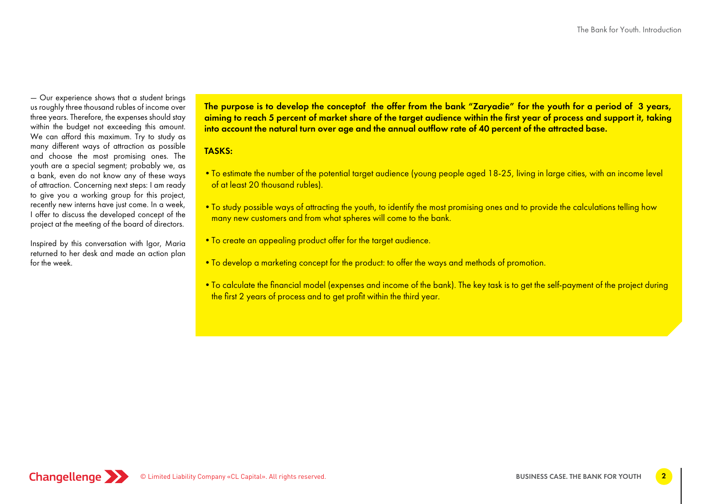— Our experience shows that a student brings us roughly three thousand rubles of income over three years. Therefore, the expenses should stay within the budget not exceeding this amount. We can afford this maximum. Try to study as many different ways of attraction as possible and choose the most promising ones. The youth are a special segment; probably we, as a bank, even do not know any of these ways of attraction. Concerning next steps: I am ready to give you a working group for this project, recently new interns have just come. In a week, I offer to discuss the developed concept of the project at the meeting of the board of directors.

Inspired by this conversation with Igor, Maria returned to her desk and made an action plan for the week.

The purpose is to develop the conceptof the offer from the bank "Zaryadie" for the youth for a period of 3 years, aiming to reach 5 percent of market share of the target audience within the first year of process and support it, taking into account the natural turn over age and the annual outflow rate of 40 percent of the attracted base.

#### TASKS:

- •To estimate the number of the potential target audience (young people aged 18-25, living in large cities, with an income level of at least 20 thousand rubles).
- •To study possible ways of attracting the youth, to identify the most promising ones and to provide the calculations telling how many new customers and from what spheres will come to the bank.
- •To create an appealing product offer for the target audience.
- To develop a marketing concept for the product: to offer the ways and methods of promotion.
- •To calculate the financial model (expenses and income of the bank). The key task is to get the self-payment of the project during the first 2 years of process and to get profit within the third year.

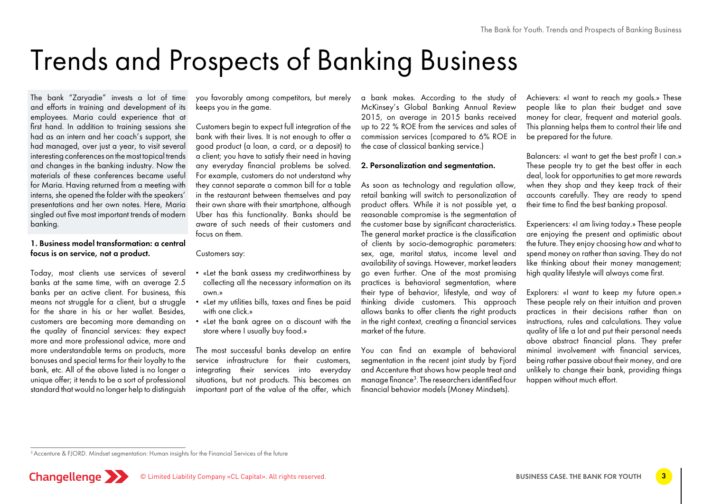# Trends and Prospects of Banking Business

The bank "Zaryadie" invests a lot of time and efforts in training and development of its employees. Maria could experience that at first hand. In addition to training sessions she had as an intern and her coach's support, she had managed, over just a year, to visit several interesting conferences on the most topical trends and changes in the banking industry. Now the materials of these conferences became useful for Maria. Having returned from a meeting with interns, she opened the folder with the speakers' presentations and her own notes. Here, Maria singled out five most important trends of modern banking.

#### 1. Business model transformation: a central focus is on service, not a product.

Today, most clients use services of several banks at the same time, with an average 2.5 banks per an active client. For business, this means not struggle for a client, but a struggle for the share in his or her wallet. Besides, customers are becoming more demanding on the quality of financial services: they expect more and more professional advice, more and more understandable terms on products, more bonuses and special terms for their loyalty to the bank, etc. All of the above listed is no longer a unique offer; it tends to be a sort of professional standard that would no longer help to distinguish

you favorably among competitors, but merely keeps you in the game.

Customers begin to expect full integration of the bank with their lives. It is not enough to offer a good product (a loan, a card, or a deposit) to a client; you have to satisfy their need in having any everyday financial problems be solved. For example, customers do not understand why they cannot separate a common bill for a table in the restaurant between themselves and pay their own share with their smartphone, although Uber has this functionality. Banks should be aware of such needs of their customers and focus on them.

#### Customers say:

- «Let the bank assess my creditworthiness by collecting all the necessary information on its own.»
- «Let my utilities bills, taxes and fines be paid with one click.»
- «Let the bank agree on a discount with the store where I usually buy food.»

The most successful banks develop an entire service infrastructure for their customers, integrating their services into everyday situations, but not products. This becomes an important part of the value of the offer, which

a bank makes. According to the study of McKinsey's Global Banking Annual Review 2015, on average in 2015 banks received up to 22 % ROE from the services and sales of commission services (compared to 6% ROE in the case of classical banking service.)

#### 2. Personalization and segmentation.

As soon as technology and regulation allow, retail banking will switch to personalization of product offers. While it is not possible yet, a reasonable compromise is the segmentation of the customer base by significant characteristics. The general market practice is the classification of clients by socio-demographic parameters: sex, age, marital status, income level and availability of savings. However, market leaders go even further. One of the most promising practices is behavioral segmentation, where their type of behavior, lifestyle, and way of thinking divide customers. This approach allows banks to offer clients the right products in the right context, creating a financial services market of the future.

You can find an example of behavioral segmentation in the recent joint study by Fjord and Accenture that shows how people treat and manage finance $^3$ . The researchers identified four financial behavior models (Money Mindsets).

Achievers: «I want to reach my goals.» These people like to plan their budget and save money for clear, frequent and material goals. This planning helps them to control their life and be prepared for the future.

Balancers: «I want to get the best profit I can.» These people try to get the best offer in each deal, look for opportunities to get more rewards when they shop and they keep track of their accounts carefully. They are ready to spend their time to find the best banking proposal.

Experiencers: «I am living today.» These people are enjoying the present and optimistic about the future. They enjoy choosing how and what to spend money on rather than saving. They do not like thinking about their money management; high quality lifestyle will always come first.

Explorers: «I want to keep my future open.» These people rely on their intuition and proven practices in their decisions rather than on instructions, rules and calculations. They value quality of life a lot and put their personal needs above abstract financial plans. They prefer minimal involvement with financial services, being rather passive about their money, and are unlikely to change their bank, providing things happen without much effort.

<sup>&</sup>lt;sup>3</sup> Accenture & FJORD. Mindset segmentation: Human insights for the Financial Services of the future

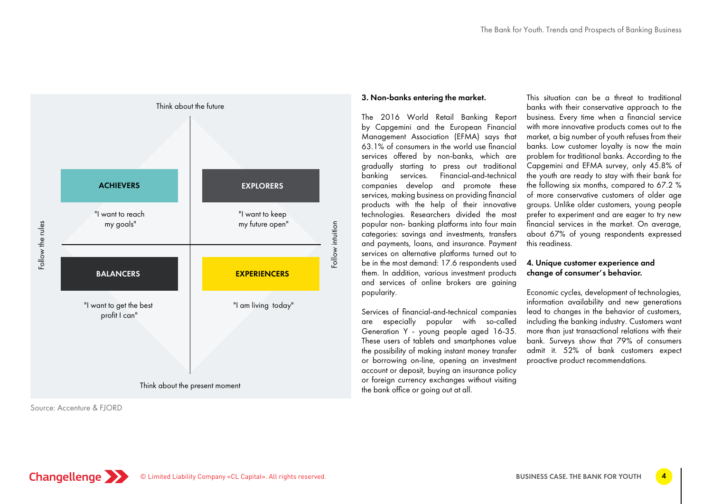

Source: Accenture & FJORD

#### 3. Non-banks entering the market.

The 2016 World Retail Banking Report by Capgemini and the European Financial Management Association (EFMA) says that 63.1% of consumers in the world use financial services offered by non-banks, which are gradually starting to press out traditional banking services. Financial-and-technical companies develop and promote these services, making business on providing financial products with the help of their innovative technologies. Researchers divided the most popular non- banking platforms into four main categories: savings and investments, transfers and payments, loans, and insurance. Payment services on alternative platforms turned out to be in the most demand: 17.6 respondents used them. In addition, various investment products and services of online brokers are gaining popularity.

Services of financial-and-technical companies are especially popular with so-called Generation Y - young people aged 16-35. These users of tablets and smartphones value the possibility of making instant money transfer or borrowing on-line, opening an investment account or deposit, buying an insurance policy or foreign currency exchanges without visiting the bank office or going out at all.

This situation can be a threat to traditional banks with their conservative approach to the business. Every time when a financial service with more innovative products comes out to the market, a big number of youth refuses from their banks. Low customer loyalty is now the main problem for traditional banks. According to the Capgemini and EFMA survey, only 45.8% of the youth are ready to stay with their bank for the following six months, compared to 67.2 % of more conservative customers of older age groups. Unlike older customers, young people prefer to experiment and are eager to try new financial services in the market. On average, about 67% of young respondents expressed this readiness.

#### 4. Unique customer experience and change of consumer's behavior.

Economic cycles, development of technologies, information availability and new generations lead to changes in the behavior of customers, including the banking industry. Customers want more than just transactional relations with their bank. Surveys show that 79% of consumers admit it. 52% of bank customers expect proactive product recommendations.

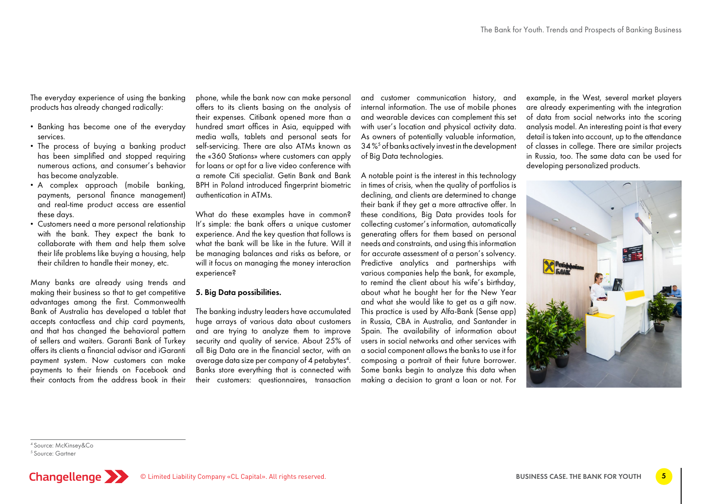The everyday experience of using the banking products has already changed radically:

- Banking has become one of the everyday services.
- The process of buying a banking product has been simplified and stopped requiring numerous actions, and consumer's behavior has become analyzable.
- A complex approach (mobile banking, payments, personal finance management) and real-time product access are essential these days.
- Customers need a more personal relationship with the bank. They expect the bank to collaborate with them and help them solve their life problems like buying a housing, help their children to handle their money, etc.

Many banks are already using trends and making their business so that to get competitive advantages among the first. Commonwealth Bank of Australia has developed a tablet that accepts contactless and chip card payments, and that has changed the behavioral pattern of sellers and waiters. Garanti Bank of Turkey offers its clients a financial advisor and iGaranti payment system. Now customers can make payments to their friends on Facebook and their contacts from the address book in their

phone, while the bank now can make personal offers to its clients basing on the analysis of their expenses. Citibank opened more than a hundred smart offices in Asia, equipped with media walls, tablets and personal seats for self-servicing. There are also ATMs known as the «360 Stations» where customers can apply for loans or opt for a live video conference with a remote Citi specialist. Getin Bank and Bank BPH in Poland introduced fingerprint biometric authentication in ATMs.

What do these examples have in common? It's simple: the bank offers a unique customer experience. And the key question that follows is what the bank will be like in the future. Will it be managing balances and risks as before, or will it focus on managing the money interaction experience?

#### 5. Big Data possibilities.

The banking industry leaders have accumulated huge arrays of various data about customers and are trying to analyze them to improve security and quality of service. About 25% of all Big Data are in the financial sector, with an average data size per company of 4 petabytes<sup>4</sup>. Banks store everything that is connected with their customers: questionnaires, transaction

and customer communication history, and internal information. The use of mobile phones and wearable devices can complement this set with user's location and physical activity data. As owners of potentially valuable information, 34 %5 of banks actively invest in the development of Big Data technologies.

A notable point is the interest in this technology in times of crisis, when the quality of portfolios is declining, and clients are determined to change their bank if they get a more attractive offer. In these conditions, Big Data provides tools for collecting customer's information, automatically generating offers for them based on personal needs and constraints, and using this information for accurate assessment of a person's solvency. Predictive analytics and partnerships with various companies help the bank, for example, to remind the client about his wife's birthday, about what he bought her for the New Year and what she would like to get as a gift now. This practice is used by Alfa-Bank (Sense app) in Russia, CBA in Australia, and Santander in Spain. The availability of information about users in social networks and other services with a social component allows the banks to use it for composing a portrait of their future borrower. Some banks begin to analyze this data when making a decision to grant a loan or not. For

example, in the West, several market players are already experimenting with the integration of data from social networks into the scoring analysis model. An interesting point is that every detail is taken into account, up to the attendance of classes in college. There are similar projects in Russia, too. The same data can be used for developing personalized products.



4 Source: McKinsey&Co

<sup>5</sup> Source: Gartner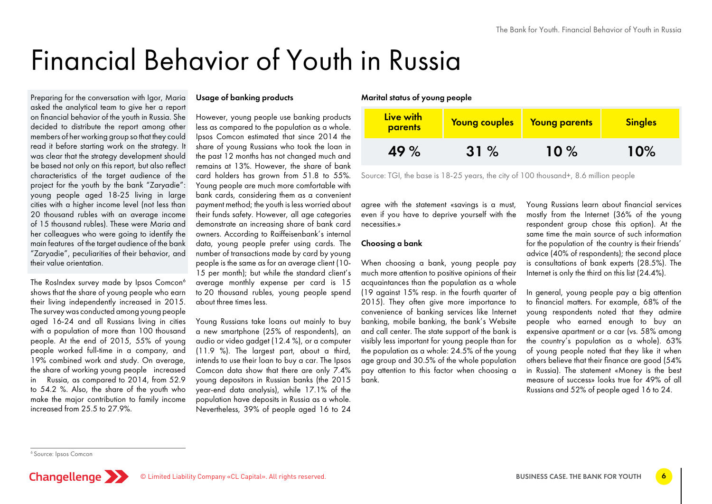# Financial Behavior of Youth in Russia

Preparing for the conversation with Igor, Maria asked the analytical team to give her a report on financial behavior of the youth in Russia. She decided to distribute the report among other members of her working group so that they could read it before starting work on the strategy. It was clear that the strategy development should be based not only on this report, but also reflect characteristics of the target audience of the project for the youth by the bank "Zaryadie": young people aged 18-25 living in large cities with a higher income level (not less than 20 thousand rubles with an average income of 15 thousand rubles). These were Maria and her colleagues who were going to identify the main features of the target audience of the bank "Zaryadie", peculiarities of their behavior, and their value orientation.

The RosIndex survey made by Ipsos Comcon<sup>6</sup> shows that the share of young people who earn their living independently increased in 2015. The survey was conducted among young people aged 16-24 and all Russians living in cities with a population of more than 100 thousand people. At the end of 2015, 55% of young people worked full-time in a company, and 19% combined work and study. On average, the share of working young people increased in Russia, as compared to 2014, from 52.9 to 54.2 %. Also, the share of the youth who make the major contribution to family income increased from 25.5 to 27.9%.

#### Usage of banking products

However, young people use banking products less as compared to the population as a whole. Ipsos Comcon estimated that since 2014 the share of young Russians who took the loan in the past 12 months has not changed much and remains at 13%. However, the share of bank card holders has grown from 51.8 to 55%. Young people are much more comfortable with bank cards, considering them as a convenient payment method; the youth is less worried about their funds safety. However, all age categories demonstrate an increasing share of bank card owners. According to Raiffeisenbank's internal data, young people prefer using cards. The number of transactions made by card by young people is the same as for an average client (10- 15 per month); but while the standard client's average monthly expense per card is 15 to 20 thousand rubles, young people spend about three times less.

Young Russians take loans out mainly to buy a new smartphone (25% of respondents), an audio or video gadget (12.4 %), or a computer (11.9 %). The largest part, about a third, intends to use their loan to buy a car. The Ipsos Comcon data show that there are only 7.4% young depositors in Russian banks (the 2015 year-end data analysis), while 17.1% of the population have deposits in Russia as a whole. Nevertheless, 39% of people aged 16 to 24

#### Marital status of young people

| Live with<br>parents | Young couples | <b>Young parents</b> | <b>Singles</b> |
|----------------------|---------------|----------------------|----------------|
| 49 %                 | 31%           | 10%                  | 10%            |

Source: TGI, the base is 18-25 years, the city of 100 thousand+, 8.6 million people

agree with the statement «savings is a must, even if you have to deprive yourself with the necessities.»

#### Choosing a bank

When choosing a bank, young people pay much more attention to positive opinions of their acquaintances than the population as a whole (19 against 15% resp. in the fourth quarter of 2015). They often give more importance to convenience of banking services like Internet banking, mobile banking, the bank's Website and call center. The state support of the bank is visibly less important for young people than for the population as a whole: 24.5% of the young age group and 30.5% of the whole population pay attention to this factor when choosing a bank.

Young Russians learn about financial services mostly from the Internet (36% of the young respondent group chose this option). At the same time the main source of such information for the population of the country is their friends' advice (40% of respondents); the second place is consultations of bank experts (28.5%). The Internet is only the third on this list (24.4%).

In general, young people pay a big attention to financial matters. For example, 68% of the young respondents noted that they admire people who earned enough to buy an expensive apartment or a car (vs. 58% among the country's population as a whole). 63% of young people noted that they like it when others believe that their finance are good (54% in Russia). The statement «Money is the best measure of success» looks true for 49% of all Russians and 52% of people aged 16 to 24.

<sup>6</sup> Source: Ipsos Comcon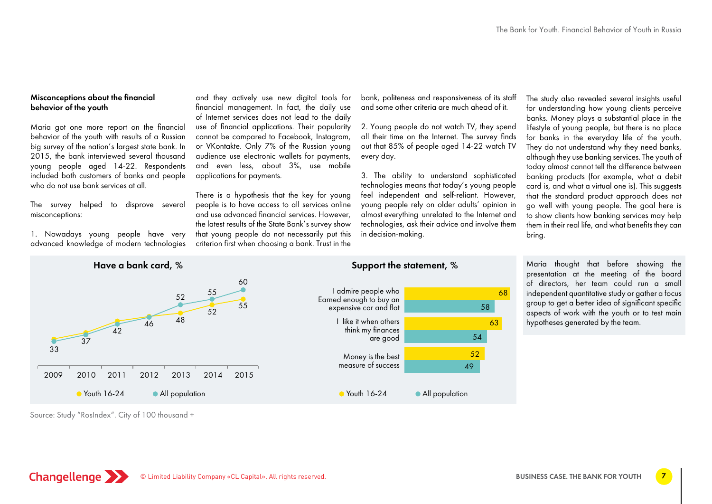#### Misconceptions about the financial behavior of the youth

Maria got one more report on the financial behavior of the youth with results of a Russian big survey of the nation's largest state bank. In 2015, the bank interviewed several thousand young people aged 14-22. Respondents included both customers of banks and people who do not use bank services at all

The survey helped to disprove several misconceptions:

1. Nowadays young people have very advanced knowledge of modern technologies

and they actively use new digital tools for financial management. In fact, the daily use of Internet services does not lead to the daily use of financial applications. Their popularity cannot be compared to Facebook, Instagram, or VKontakte. Only 7% of the Russian young audience use electronic wallets for payments, and even less, about 3%, use mobile applications for payments.

There is a hypothesis that the key for young people is to have access to all services online and use advanced financial services. However, the latest results of the State Bank's survey show that young people do not necessarily put this criterion first when choosing a bank. Trust in the bank, politeness and responsiveness of its staff and some other criteria are much ahead of it.

2. Young people do not watch TV, they spend all their time on the Internet. The survey finds out that 85% of people aged 14-22 watch TV every day.

3. The ability to understand sophisticated technologies means that today's young people feel independent and self-reliant. However, young people rely on older adults' opinion in almost everything unrelated to the Internet and technologies, ask their advice and involve them in decision-making.

> 52 49

The study also revealed several insights useful for understanding how young clients perceive banks. Money plays a substantial place in the lifestyle of young people, but there is no place for banks in the everyday life of the youth. They do not understand why they need banks, although they use banking services. The youth of today almost cannot tell the difference between banking products (for example, what a debit card is, and what a virtual one is). This suggests that the standard product approach does not go well with young people. The goal here is to show clients how banking services may help them in their real life, and what benefits they can bring.

Maria thought that before showing the





• Youth 16-24 • All population

Earned enough to buy an expensive car and flat I like it when others think my finances are good

> Money is the best measure of success

68 58 63 54 presentation at the meeting of the board of directors, her team could run a small independent quantitative study or gather a focus group to get a better idea of significant specific aspects of work with the youth or to test main hypotheses generated by the team.

Source: Study "RosIndex". City of 100 thousand +

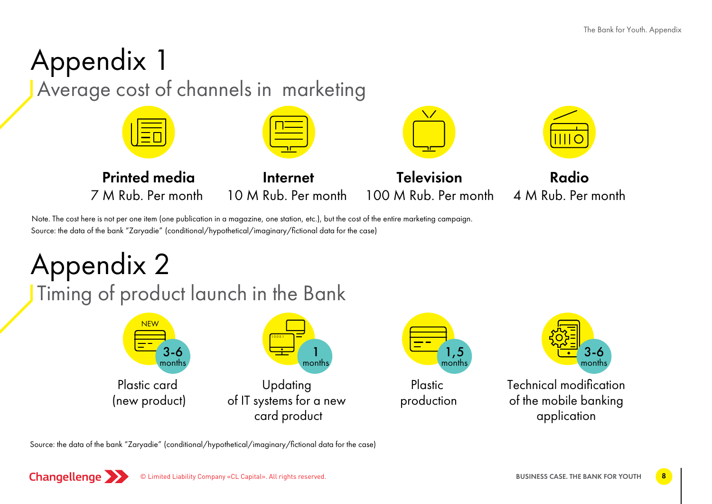### Appendix 1 Average cost of channels in marketing Printed media 7 M Rub. Per month Internet 10 M Rub. Per month **Television** 100 M Rub. Per month Radio 4 M Rub. Per month

Source: the data of the bank "Zaryadie" (conditional/hypothetical/imaginary/fictional data for the case) Note. The cost here is not per one item (one publication in a magazine, one station, etc.), but the cost of the entire marketing campaign.

# Appendix 2

Timing of product launch in the Bank





Plastic production



Technical modification of the mobile banking application

Source: the data of the bank "Zaryadie" (conditional/hypothetical/imaginary/fictional data for the case)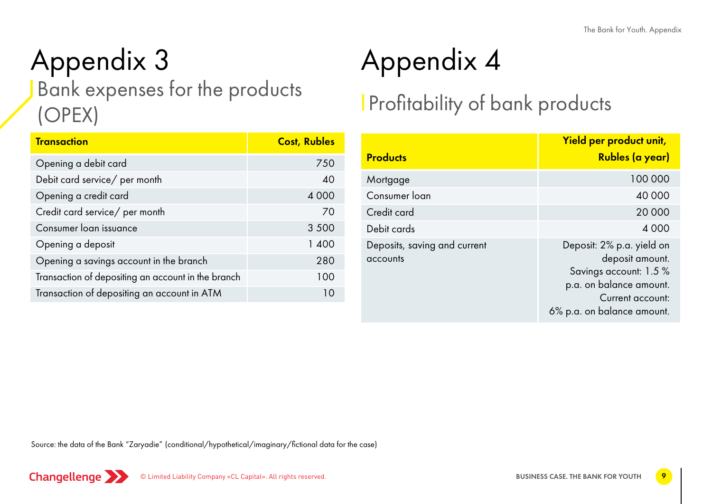### Appendix 3 Appendix 4 Bank expenses for the products (ОРЕХ)

| <b>Transaction</b>                                 | <b>Cost, Rubles</b> |  |  |
|----------------------------------------------------|---------------------|--|--|
| Opening a debit card                               | 750                 |  |  |
| Debit card service/ per month                      | 40                  |  |  |
| Opening a credit card                              | 4 0 0 0             |  |  |
| Credit card service/ per month                     | 70                  |  |  |
| Consumer loan issuance                             | 3 5 0 0             |  |  |
| Opening a deposit                                  | 1 400               |  |  |
| Opening a savings account in the branch            | 280                 |  |  |
| Transaction of depositing an account in the branch | 100                 |  |  |
| Transaction of depositing an account in ATM        | 10                  |  |  |

### Profitability of bank products

| <b>Products</b>                          | Yield per product unit,<br>Rubles (a year)                                                                                                          |  |  |
|------------------------------------------|-----------------------------------------------------------------------------------------------------------------------------------------------------|--|--|
| Mortgage                                 | 100 000                                                                                                                                             |  |  |
| Consumer loan                            | 40 000                                                                                                                                              |  |  |
| Credit card                              | 20 000                                                                                                                                              |  |  |
| Debit cards                              | 4 0 0 0                                                                                                                                             |  |  |
| Deposits, saving and current<br>accounts | Deposit: 2% p.a. yield on<br>deposit amount.<br>Savings account: 1.5 %<br>p.a. on balance amount.<br>Current account:<br>6% p.a. on balance amount. |  |  |

Source: the data of the Bank "Zaryadie" (conditional/hypothetical/imaginary/fictional data for the case)